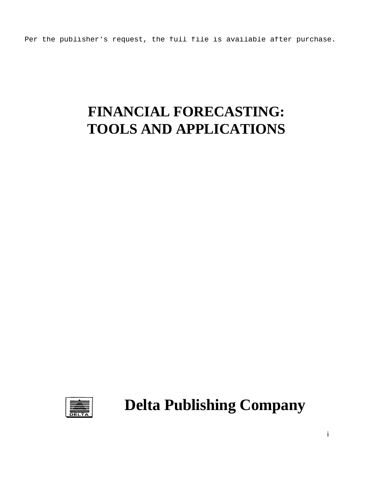Per the publisher's request, the full file is available after purchase.

# **FINANCIAL FORECASTING: TOOLS AND APPLICATIONS**



**Delta Publishing Company**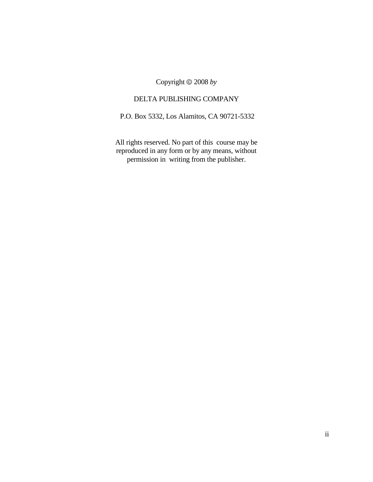Copyright  $\odot$  2008 *by* 

#### DELTA PUBLISHING COMPANY

P.O. Box 5332, Los Alamitos, CA 90721-5332

All rights reserved. No part of this course may be reproduced in any form or by any means, without permission in writing from the publisher.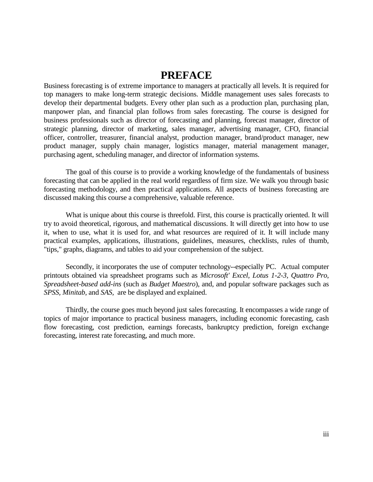### **PREFACE**

Business forecasting is of extreme importance to managers at practically all levels. It is required for top managers to make long-term strategic decisions. Middle management uses sales forecasts to develop their departmental budgets. Every other plan such as a production plan, purchasing plan, manpower plan, and financial plan follows from sales forecasting. The course is designed for business professionals such as director of forecasting and planning, forecast manager, director of strategic planning, director of marketing, sales manager, advertising manager, CFO, financial officer, controller, treasurer, financial analyst, production manager, brand/product manager, new product manager, supply chain manager, logistics manager, material management manager, purchasing agent, scheduling manager, and director of information systems.

The goal of this course is to provide a working knowledge of the fundamentals of business forecasting that can be applied in the real world regardless of firm size. We walk you through basic forecasting methodology, and then practical applications. All aspects of business forecasting are discussed making this course a comprehensive, valuable reference.

What is unique about this course is threefold. First, this course is practically oriented. It will try to avoid theoretical, rigorous, and mathematical discussions. It will directly get into how to use it, when to use, what it is used for, and what resources are required of it. It will include many practical examples, applications, illustrations, guidelines, measures, checklists, rules of thumb, "tips," graphs, diagrams, and tables to aid your comprehension of the subject.

Secondly, it incorporates the use of computer technology--especially PC. Actual computer printouts obtained via spreadsheet programs such as *Microsoft' Excel, Lotus 1-2-3, Quattro Pro*, *Spreadsheet-based add-ins* (such as *Budget Maestro*), and, and popular software packages such as *SPSS, Minitab,* and *SAS,* are be displayed and explained.

Thirdly, the course goes much beyond just sales forecasting. It encompasses a wide range of topics of major importance to practical business managers, including economic forecasting, cash flow forecasting, cost prediction, earnings forecasts, bankruptcy prediction, foreign exchange forecasting, interest rate forecasting, and much more.